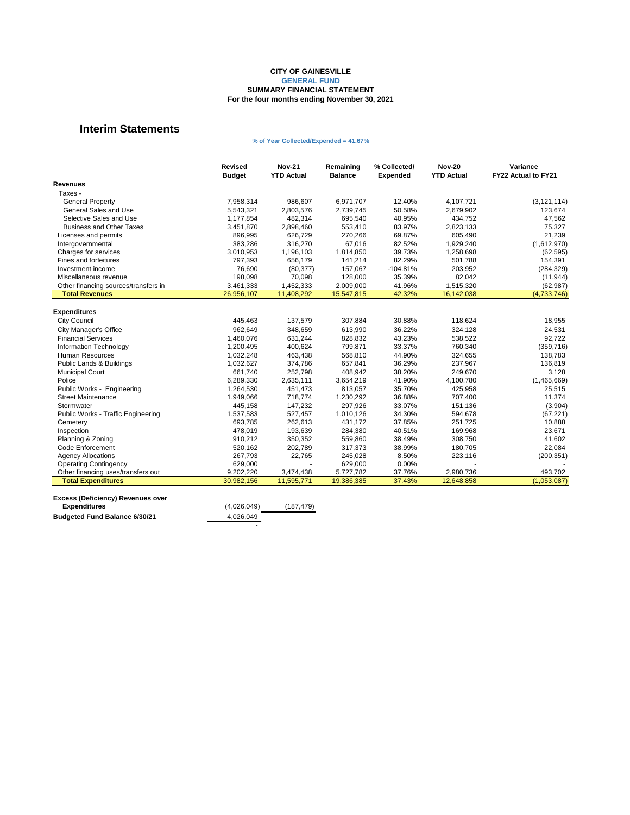|                                           | <b>Revised</b><br><b>Budget</b> | <b>Nov-21</b><br><b>YTD Actual</b> | Remaining<br><b>Balance</b> | % Collected/<br><b>Expended</b> | <b>Nov-20</b><br><b>YTD Actual</b> | <b>Variance</b><br><b>FY22 Actual to FY21</b> |
|-------------------------------------------|---------------------------------|------------------------------------|-----------------------------|---------------------------------|------------------------------------|-----------------------------------------------|
| <b>Revenues</b>                           |                                 |                                    |                             |                                 |                                    |                                               |
| Taxes -                                   |                                 |                                    |                             |                                 |                                    |                                               |
| <b>General Property</b>                   | 7,958,314                       | 986,607                            | 6,971,707                   | 12.40%                          | 4,107,721                          | (3, 121, 114)                                 |
| <b>General Sales and Use</b>              | 5,543,321                       | 2,803,576                          | 2,739,745                   | 50.58%                          | 2,679,902                          | 123,674                                       |
| Selective Sales and Use                   | 1,177,854                       | 482,314                            | 695,540                     | 40.95%                          | 434,752                            | 47,562                                        |
| <b>Business and Other Taxes</b>           | 3,451,870                       | 2,898,460                          | 553,410                     | 83.97%                          | 2,823,133                          | 75,327                                        |
| Licenses and permits                      | 896,995                         | 626,729                            | 270,266                     | 69.87%                          | 605,490                            | 21,239                                        |
| Intergovernmental                         | 383,286                         | 316,270                            | 67,016                      | 82.52%                          | 1,929,240                          | (1,612,970)                                   |
| Charges for services                      | 3,010,953                       | 1,196,103                          | 1,814,850                   | 39.73%                          | 1,258,698                          | (62, 595)                                     |
| Fines and forfeitures                     | 797,393                         | 656,179                            | 141,214                     | 82.29%                          | 501,788                            | 154,391                                       |
| Investment income                         | 76,690                          | (80, 377)                          | 157,067                     | $-104.81%$                      | 203,952                            | (284, 329)                                    |
| Miscellaneous revenue                     | 198,098                         | 70,098                             | 128,000                     | 35.39%                          | 82,042                             | (11, 944)                                     |
| Other financing sources/transfers in      | 3,461,333                       | 1,452,333                          | 2,009,000                   | 41.96%                          | 1,515,320                          | (62, 987)                                     |
| <b>Total Revenues</b>                     | 26,956,107                      | 11,408,292                         | 15,547,815                  | 42.32%                          | 16,142,038                         | (4,733,746)                                   |
|                                           |                                 |                                    |                             |                                 |                                    |                                               |
| <b>Expenditures</b>                       |                                 |                                    |                             |                                 |                                    |                                               |
| <b>City Council</b>                       | 445,463                         | 137,579                            | 307,884                     | 30.88%                          | 118,624                            | 18,955                                        |
| <b>City Manager's Office</b>              | 962,649                         | 348,659                            | 613,990                     | 36.22%                          | 324,128                            | 24,531                                        |
| <b>Financial Services</b>                 | 1,460,076                       | 631,244                            | 828,832                     | 43.23%                          | 538,522                            | 92,722                                        |
| Information Technology                    | 1,200,495                       | 400,624                            | 799,871                     | 33.37%                          | 760,340                            | (359, 716)                                    |
| <b>Human Resources</b>                    | 1,032,248                       | 463,438                            | 568,810                     | 44.90%                          | 324,655                            | 138,783                                       |
| <b>Public Lands &amp; Buildings</b>       | 1,032,627                       | 374,786                            | 657,841                     | 36.29%                          | 237,967                            | 136,819                                       |
| <b>Municipal Court</b>                    | 661,740                         | 252,798                            | 408,942                     | 38.20%                          | 249,670                            | 3,128                                         |
| Police                                    | 6,289,330                       | 2,635,111                          | 3,654,219                   | 41.90%                          | 4,100,780                          | (1,465,669)                                   |
| Public Works - Engineering                | 1,264,530                       | 451,473                            | 813,057                     | 35.70%                          | 425,958                            | 25,515                                        |
| <b>Street Maintenance</b>                 | 1,949,066                       | 718,774                            | 1,230,292                   | 36.88%                          | 707,400                            | 11,374                                        |
| Stormwater                                | 445,158                         | 147,232                            | 297,926                     | 33.07%                          | 151,136                            | (3,904)                                       |
| <b>Public Works - Traffic Engineering</b> | 1,537,583                       | 527,457                            | 1,010,126                   | 34.30%                          | 594,678                            | (67, 221)                                     |
| Cemetery                                  | 693,785                         | 262,613                            | 431,172                     | 37.85%                          | 251,725                            | 10,888                                        |
| Inspection                                | 478,019                         | 193,639                            | 284,380                     | 40.51%                          | 169,968                            | 23,671                                        |
| Planning & Zoning                         | 910,212                         | 350,352                            | 559,860                     | 38.49%                          | 308,750                            | 41,602                                        |
| <b>Code Enforcement</b>                   | 520,162                         | 202,789                            | 317,373                     | 38.99%                          | 180,705                            | 22,084                                        |
| <b>Agency Allocations</b>                 | 267,793                         | 22,765                             | 245,028                     | 8.50%                           | 223,116                            | (200, 351)                                    |
| <b>Operating Contingency</b>              | 629,000                         |                                    | 629,000                     | 0.00%                           |                                    |                                               |
| Other financing uses/transfers out        | 9,202,220                       | 3,474,438                          | 5,727,782                   | 37.76%                          | 2,980,736                          | 493,702                                       |
| <b>Total Expenditures</b>                 | 30,982,156                      | 11,595,771                         | 19,386,385                  | 37.43%                          | 12,648,858                         | (1,053,087)                                   |

| (4,026,049)<br>(187, 479) |
|---------------------------|
|                           |
| 4,026,049                 |
| ۰                         |
|                           |

#### **CITY OF GAINESVILLE GENERAL FUND SUMMARY FINANCIAL STATEMENT For the four months ending November 30, 2021**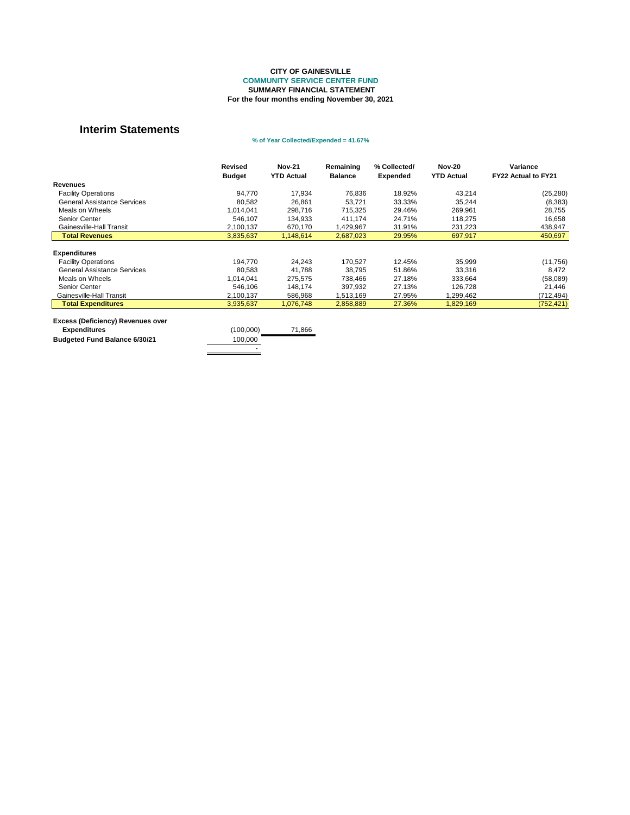|                                    | <b>Revised</b><br><b>Budget</b> | <b>Nov-21</b><br><b>YTD Actual</b> | Remaining<br><b>Balance</b> | % Collected/<br><b>Expended</b> | <b>Nov-20</b><br><b>YTD Actual</b> | Variance<br>FY22 Actual to FY21 |
|------------------------------------|---------------------------------|------------------------------------|-----------------------------|---------------------------------|------------------------------------|---------------------------------|
| <b>Revenues</b>                    |                                 |                                    |                             |                                 |                                    |                                 |
| <b>Facility Operations</b>         | 94,770                          | 17,934                             | 76,836                      | 18.92%                          | 43,214                             | (25, 280)                       |
| <b>General Assistance Services</b> | 80,582                          | 26,861                             | 53,721                      | 33.33%                          | 35,244                             | (8,383)                         |
| Meals on Wheels                    | 1,014,041                       | 298,716                            | 715,325                     | 29.46%                          | 269,961                            | 28,755                          |
| <b>Senior Center</b>               | 546,107                         | 134,933                            | 411,174                     | 24.71%                          | 118,275                            | 16,658                          |
| Gainesville-Hall Transit           | 2,100,137                       | 670,170                            | ,429,967                    | 31.91%                          | 231,223                            | 438,947                         |
| <b>Total Revenues</b>              | 3,835,637                       | 1,148,614                          | 2,687,023                   | 29.95%                          | 697,917                            | 450,697                         |
| <b>Expenditures</b>                |                                 |                                    |                             |                                 |                                    |                                 |
| <b>Facility Operations</b>         | 194,770                         | 24,243                             | 170,527                     | 12.45%                          | 35,999                             | (11, 756)                       |
| <b>General Assistance Services</b> | 80,583                          | 41,788                             | 38,795                      | 51.86%                          | 33,316                             | 8,472                           |
| Meals on Wheels                    | 1,014,041                       | 275,575                            | 738,466                     | 27.18%                          | 333,664                            | (58,089)                        |
| <b>Senior Center</b>               | 546,106                         | 148,174                            | 397,932                     | 27.13%                          | 126,728                            | 21,446                          |
| Gainesville-Hall Transit           | 2,100,137                       | 586,968                            | 1,513,169                   | 27.95%                          | 1,299,462                          | (712, 494)                      |
| <b>Total Expenditures</b>          | 3,935,637                       | 1,076,748                          | 2,858,889                   | 27.36%                          | 1,829,169                          | (752, 421)                      |

| <b>EXCESS (Deliciency) Revenues over</b> |           |        |
|------------------------------------------|-----------|--------|
| <b>Expenditures</b>                      | (100,000) | 71,866 |
| <b>Budgeted Fund Balance 6/30/21</b>     | 100,000   |        |
|                                          | -         |        |
|                                          |           |        |

#### **COMMUNITY SERVICE CENTER FUND SUMMARY FINANCIAL STATEMENT For the four months ending November 30, 2021 CITY OF GAINESVILLE**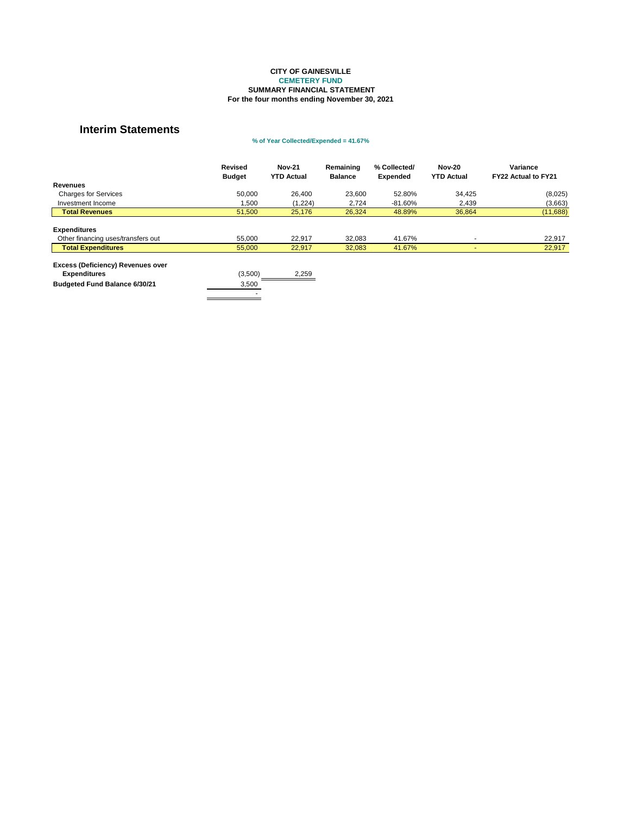|                                                                                                         | <b>Revised</b><br><b>Budget</b> | <b>Nov-21</b><br><b>YTD Actual</b> | Remaining<br><b>Balance</b> | % Collected/<br><b>Expended</b> | <b>Nov-20</b><br><b>YTD Actual</b> | Variance<br><b>FY22 Actual to FY21</b> |
|---------------------------------------------------------------------------------------------------------|---------------------------------|------------------------------------|-----------------------------|---------------------------------|------------------------------------|----------------------------------------|
| <b>Revenues</b>                                                                                         |                                 |                                    |                             |                                 |                                    |                                        |
| <b>Charges for Services</b>                                                                             | 50,000                          | 26,400                             | 23,600                      | 52.80%                          | 34,425                             | (8,025)                                |
| Investment Income                                                                                       | 1,500                           | (1,224)                            | 2,724                       | -81.60%                         | 2,439                              | (3,663)                                |
| <b>Total Revenues</b>                                                                                   | 51,500                          | 25,176                             | 26,324                      | 48.89%                          | 36,864                             | (11,688)                               |
|                                                                                                         |                                 |                                    |                             |                                 |                                    |                                        |
| <b>Expenditures</b>                                                                                     |                                 |                                    |                             |                                 |                                    |                                        |
| Other financing uses/transfers out                                                                      | 55,000                          | 22,917                             | 32,083                      | 41.67%                          |                                    | 22,917                                 |
| <b>Total Expenditures</b>                                                                               | 55,000                          | 22,917                             | 32,083                      | 41.67%                          |                                    | 22,917                                 |
| <b>Excess (Deficiency) Revenues over</b><br><b>Expenditures</b><br><b>Budgeted Fund Balance 6/30/21</b> | (3,500)<br>3,500                | 2,259                              |                             |                                 |                                    |                                        |

#### **CITY OF GAINESVILLE CEMETERY FUND SUMMARY FINANCIAL STATEMENT For the four months ending November 30, 2021**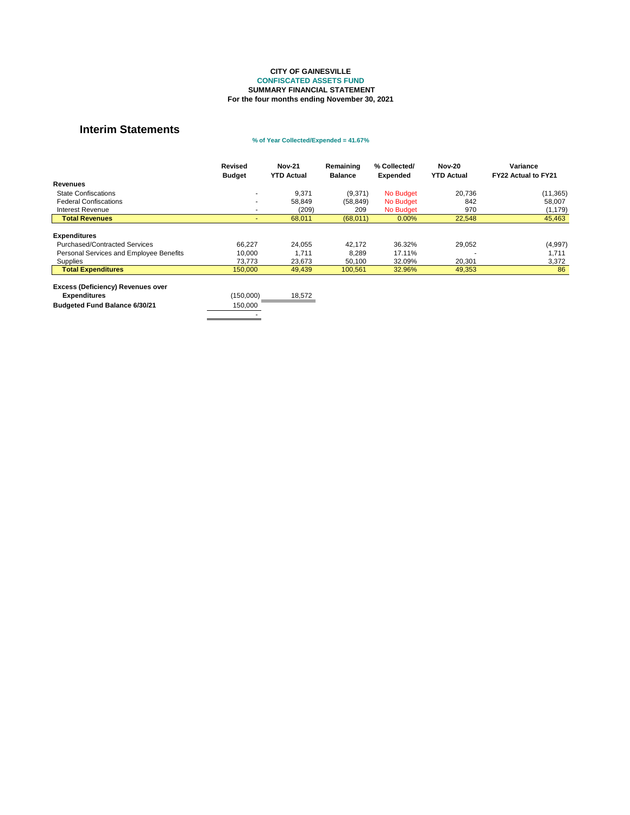|                                          | <b>Revised</b><br><b>Budget</b> | <b>Nov-21</b><br><b>YTD Actual</b> | Remaining<br><b>Balance</b> | % Collected/<br><b>Expended</b> | <b>Nov-20</b><br><b>YTD Actual</b> | Variance<br><b>FY22 Actual to FY21</b> |
|------------------------------------------|---------------------------------|------------------------------------|-----------------------------|---------------------------------|------------------------------------|----------------------------------------|
| <b>Revenues</b>                          |                                 |                                    |                             |                                 |                                    |                                        |
| <b>State Confiscations</b>               |                                 | 9,371                              | (9,371)                     | No Budget                       | 20,736                             | (11, 365)                              |
| <b>Federal Confiscations</b>             |                                 | 58,849                             | (58, 849)                   | No Budget                       | 842                                | 58,007                                 |
| <b>Interest Revenue</b>                  |                                 | (209)                              | 209                         | No Budget                       | 970                                | (1, 179)                               |
| <b>Total Revenues</b>                    |                                 | 68,011                             | (68,011)                    | 0.00%                           | 22,548                             | 45,463                                 |
|                                          |                                 |                                    |                             |                                 |                                    |                                        |
| <b>Expenditures</b>                      |                                 |                                    |                             |                                 |                                    |                                        |
| <b>Purchased/Contracted Services</b>     | 66,227                          | 24,055                             | 42,172                      | 36.32%                          | 29,052                             | (4,997)                                |
| Personal Services and Employee Benefits  | 10,000                          | 1,711                              | 8,289                       | 17.11%                          |                                    | 1,711                                  |
| <b>Supplies</b>                          | 73,773                          | 23,673                             | 50,100                      | 32.09%                          | 20,301                             | 3,372                                  |
| <b>Total Expenditures</b>                | 150,000                         | 49,439                             | 100,561                     | 32.96%                          | 49,353                             | 86                                     |
|                                          |                                 |                                    |                             |                                 |                                    |                                        |
| <b>Excess (Deficiency) Revenues over</b> |                                 |                                    |                             |                                 |                                    |                                        |
| <b>Expenditures</b>                      | (150,000)                       | 18,572                             |                             |                                 |                                    |                                        |
| <b>Budgeted Fund Balance 6/30/21</b>     | 150,000                         |                                    |                             |                                 |                                    |                                        |
|                                          |                                 |                                    |                             |                                 |                                    |                                        |

### **% of Year Collected/Expended = 41.67%**

#### **For the four months ending November 30, 2021 CITY OF GAINESVILLE CONFISCATED ASSETS FUND SUMMARY FINANCIAL STATEMENT**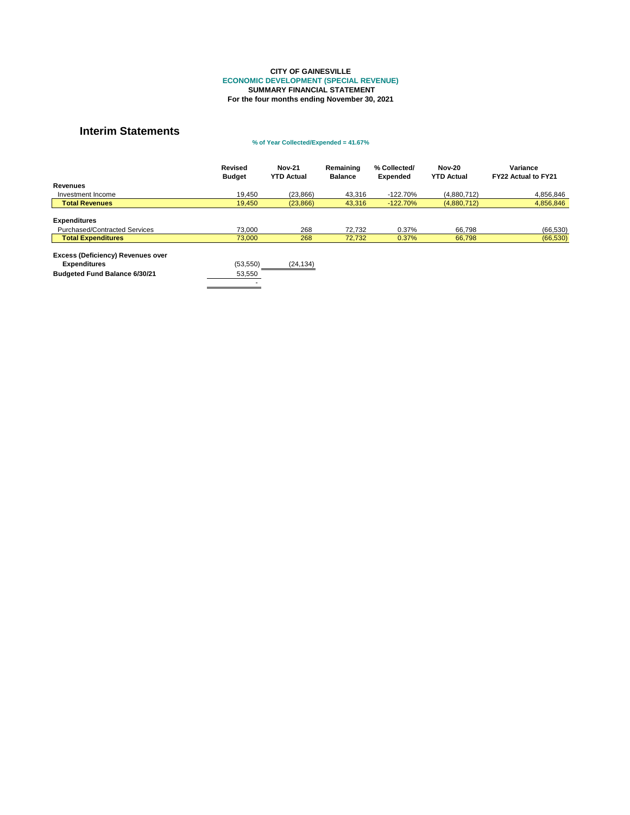|                                          | <b>Revised</b><br><b>Budget</b> | <b>Nov-21</b><br><b>YTD Actual</b> | Remaining<br><b>Balance</b> | % Collected/<br><b>Expended</b> | <b>Nov-20</b><br><b>YTD Actual</b> | Variance<br><b>FY22 Actual to FY21</b> |
|------------------------------------------|---------------------------------|------------------------------------|-----------------------------|---------------------------------|------------------------------------|----------------------------------------|
| <b>Revenues</b>                          |                                 |                                    |                             |                                 |                                    |                                        |
| Investment Income                        | 19,450                          | (23, 866)                          | 43,316                      | $-122.70%$                      | (4,880,712)                        | 4,856,846                              |
| <b>Total Revenues</b>                    | 19,450                          | (23, 866)                          | 43,316                      | $-122.70\%$                     | (4,880,712)                        | 4,856,846                              |
|                                          |                                 |                                    |                             |                                 |                                    |                                        |
| <b>Expenditures</b>                      |                                 |                                    |                             |                                 |                                    |                                        |
| <b>Purchased/Contracted Services</b>     | 73,000                          | 268                                | 72,732                      | 0.37%                           | 66,798                             | (66, 530)                              |
| <b>Total Expenditures</b>                | 73,000                          | 268                                | 72,732                      | 0.37%                           | 66,798                             | (66, 530)                              |
| <b>Excess (Deficiency) Revenues over</b> |                                 |                                    |                             |                                 |                                    |                                        |
| <b>Expenditures</b>                      | (53, 550)                       | (24, 134)                          |                             |                                 |                                    |                                        |
| <b>Budgeted Fund Balance 6/30/21</b>     | 53,550                          |                                    |                             |                                 |                                    |                                        |
|                                          |                                 |                                    |                             |                                 |                                    |                                        |

#### **ECONOMIC DEVELOPMENT (SPECIAL REVENUE) SUMMARY FINANCIAL STATEMENT For the four months ending November 30, 2021 CITY OF GAINESVILLE**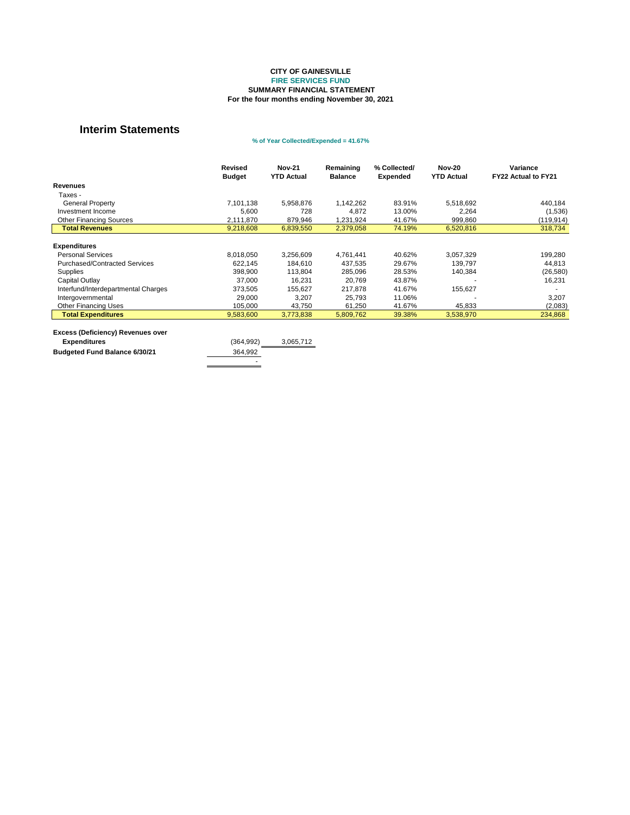|                                      | <b>Revised</b><br><b>Budget</b> | <b>Nov-21</b><br><b>YTD Actual</b> | Remaining<br><b>Balance</b> | % Collected/<br><b>Expended</b> | <b>Nov-20</b><br><b>YTD Actual</b> | Variance<br><b>FY22 Actual to FY21</b> |
|--------------------------------------|---------------------------------|------------------------------------|-----------------------------|---------------------------------|------------------------------------|----------------------------------------|
| <b>Revenues</b>                      |                                 |                                    |                             |                                 |                                    |                                        |
| Taxes -                              |                                 |                                    |                             |                                 |                                    |                                        |
| <b>General Property</b>              | 7,101,138                       | 5,958,876                          | 1,142,262                   | 83.91%                          | 5,518,692                          | 440,184                                |
| Investment Income                    | 5,600                           | 728                                | 4,872                       | 13.00%                          | 2,264                              | (1,536)                                |
| <b>Other Financing Sources</b>       | 2,111,870                       | 879,946                            | 1,231,924                   | 41.67%                          | 999,860                            | (119, 914)                             |
| <b>Total Revenues</b>                | 9,218,608                       | 6,839,550                          | 2,379,058                   | 74.19%                          | 6,520,816                          | 318,734                                |
|                                      |                                 |                                    |                             |                                 |                                    |                                        |
| <b>Expenditures</b>                  |                                 |                                    |                             |                                 |                                    |                                        |
| <b>Personal Services</b>             | 8,018,050                       | 3,256,609                          | 4,761,441                   | 40.62%                          | 3,057,329                          | 199,280                                |
| <b>Purchased/Contracted Services</b> | 622,145                         | 184,610                            | 437,535                     | 29.67%                          | 139,797                            | 44,813                                 |
| <b>Supplies</b>                      | 398,900                         | 113,804                            | 285,096                     | 28.53%                          | 140,384                            | (26, 580)                              |
| <b>Capital Outlay</b>                | 37,000                          | 16,231                             | 20,769                      | 43.87%                          |                                    | 16,231                                 |
| Interfund/Interdepartmental Charges  | 373,505                         | 155,627                            | 217,878                     | 41.67%                          | 155,627                            |                                        |
| Intergovernmental                    | 29,000                          | 3,207                              | 25,793                      | 11.06%                          |                                    | 3,207                                  |
| <b>Other Financing Uses</b>          | 105,000                         | 43,750                             | 61,250                      | 41.67%                          | 45,833                             | (2,083)                                |
| <b>Total Expenditures</b>            | 9,583,600                       | 3,773,838                          | 5,809,762                   | 39.38%                          | 3,538,970                          | 234,868                                |
|                                      |                                 |                                    |                             |                                 |                                    |                                        |

| <b>Excess (Deficiency) Revenues over</b> |            |           |
|------------------------------------------|------------|-----------|
| <b>Expenditures</b>                      | (364, 992) | 3,065,712 |
| <b>Budgeted Fund Balance 6/30/21</b>     | 364,992    |           |
|                                          |            |           |

-

### **% of Year Collected/Expended = 41.67%**

#### **For the four months ending November 30, 2021 CITY OF GAINESVILLE FIRE SERVICES FUND SUMMARY FINANCIAL STATEMENT**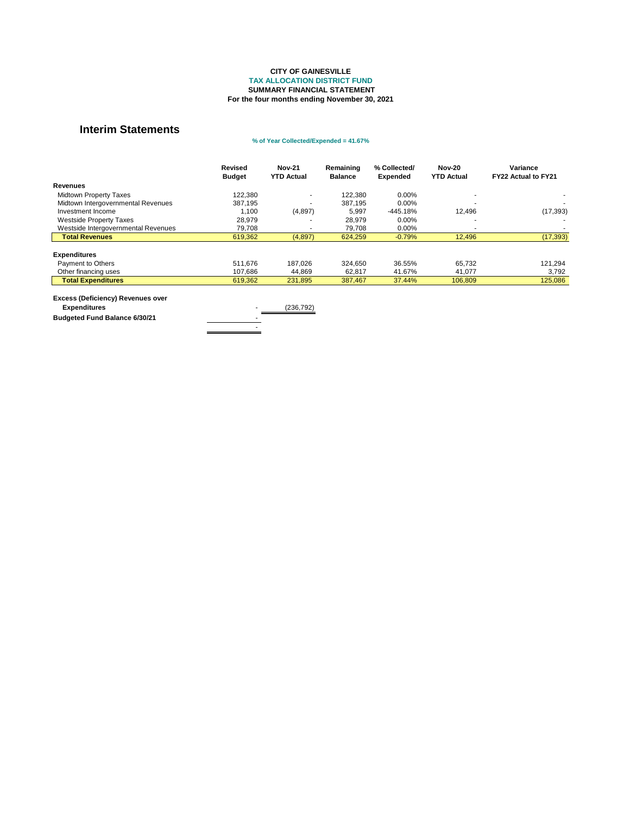#### **Excess (Deficiency) Revenues over Expenditures** (236,792)

**Budgeted Fund Balance 6/30/21** 

- 1990 - 1990 - 1990 - 1990 - 1990 - 1990 - 1990 - 1990 - 1990 - 1990 - 1990 - 1990 - 1990 - 1990 - 1990 - 199<br>1991 - 1991 - 1991 - 1991 - 1991 - 1991 - 1991 - 1991 - 1991 - 1991 - 1991 - 1991 - 1991 - 1991 - 1991 - 1991

|                                     | <b>Revised</b> | <b>Nov-21</b>     | Remaining      | % Collected/    | <b>Nov-20</b>     | <b>Variance</b>            |
|-------------------------------------|----------------|-------------------|----------------|-----------------|-------------------|----------------------------|
|                                     | <b>Budget</b>  | <b>YTD Actual</b> | <b>Balance</b> | <b>Expended</b> | <b>YTD Actual</b> | <b>FY22 Actual to FY21</b> |
| <b>Revenues</b>                     |                |                   |                |                 |                   |                            |
| <b>Midtown Property Taxes</b>       | 122,380        | $\blacksquare$    | 122,380        | $0.00\%$        |                   |                            |
| Midtown Intergovernmental Revenues  | 387,195        | $\blacksquare$    | 387,195        | $0.00\%$        |                   |                            |
| Investment Income                   | 1,100          | (4,897)           | 5,997          | $-445.18%$      | 12,496            | (17, 393)                  |
| <b>Westside Property Taxes</b>      | 28,979         |                   | 28,979         | $0.00\%$        |                   |                            |
| Westside Intergovernmental Revenues | 79,708         |                   | 79,708         | $0.00\%$        |                   |                            |
| <b>Total Revenues</b>               | 619,362        | (4,897)           | 624,259        | $-0.79%$        | 12,496            | (17, 393)                  |
| <b>Expenditures</b>                 |                |                   |                |                 |                   |                            |
| Payment to Others                   | 511,676        | 187,026           | 324,650        | 36.55%          | 65,732            | 121,294                    |
| Other financing uses                | 107,686        | 44,869            | 62,817         | 41.67%          | 41,077            | 3,792                      |
| <b>Total Expenditures</b>           | 619,362        | 231,895           | 387,467        | 37.44%          | 106,809           | 125,086                    |
|                                     |                |                   |                |                 |                   |                            |

#### **% of Year Collected/Expended = 41.67%**

#### **CITY OF GAINESVILLE TAX ALLOCATION DISTRICT FUND SUMMARY FINANCIAL STATEMENT For the four months ending November 30, 2021**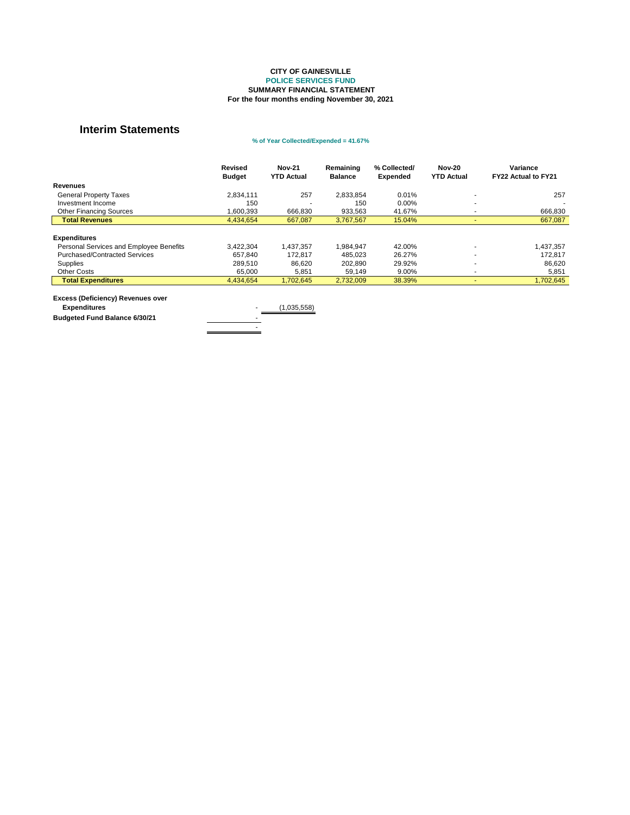|                                         | <b>Revised</b> | <b>Nov-21</b>     | Remaining      | % Collected/    | <b>Nov-20</b>     | Variance                   |
|-----------------------------------------|----------------|-------------------|----------------|-----------------|-------------------|----------------------------|
|                                         | <b>Budget</b>  | <b>YTD Actual</b> | <b>Balance</b> | <b>Expended</b> | <b>YTD Actual</b> | <b>FY22 Actual to FY21</b> |
| <b>Revenues</b>                         |                |                   |                |                 |                   |                            |
| <b>General Property Taxes</b>           | 2,834,111      | 257               | 2,833,854      | 0.01%           |                   | 257                        |
| Investment Income                       | 150            |                   | 150            | 0.00%           |                   |                            |
| <b>Other Financing Sources</b>          | 1,600,393      | 666,830           | 933,563        | 41.67%          |                   | 666,830                    |
| <b>Total Revenues</b>                   | 4,434,654      | 667,087           | 3,767,567      | 15.04%          |                   | 667,087                    |
|                                         |                |                   |                |                 |                   |                            |
| <b>Expenditures</b>                     |                |                   |                |                 |                   |                            |
| Personal Services and Employee Benefits | 3,422,304      | A37,357           | 1,984,947      | 42.00%          |                   | 1,437,357                  |
| <b>Purchased/Contracted Services</b>    | 657,840        | 172,817           | 485,023        | 26.27%          |                   | 172,817                    |
| Supplies                                | 289,510        | 86,620            | 202,890        | 29.92%          |                   | 86,620                     |
| <b>Other Costs</b>                      | 65,000         | 5,851             | 59,149         | 9.00%           |                   | 5,851                      |
| <b>Total Expenditures</b>               | 4,434,654      | 1,702,645         | 2,732,009      | 38.39%          |                   | 1,702,645                  |

#### **Excess (Deficiency) Revenues over**

**Budgeted Fund Balance 6/30/21** 

**Expenditures** (1,035,558) - 1990 - 1990 - 1990 - 1990 - 1990 - 1990 - 1990 - 1990 - 1990 - 1990 - 1990 - 1990 - 1990 - 1990 - 1990 - 199<br>1991 - 1991 - 1991 - 1991 - 1991 - 1991 - 1991 - 1991 - 1991 - 1991 - 1991 - 1991 - 1991 - 1991 - 1991 - 1991

#### **CITY OF GAINESVILLE POLICE SERVICES FUND SUMMARY FINANCIAL STATEMENT For the four months ending November 30, 2021**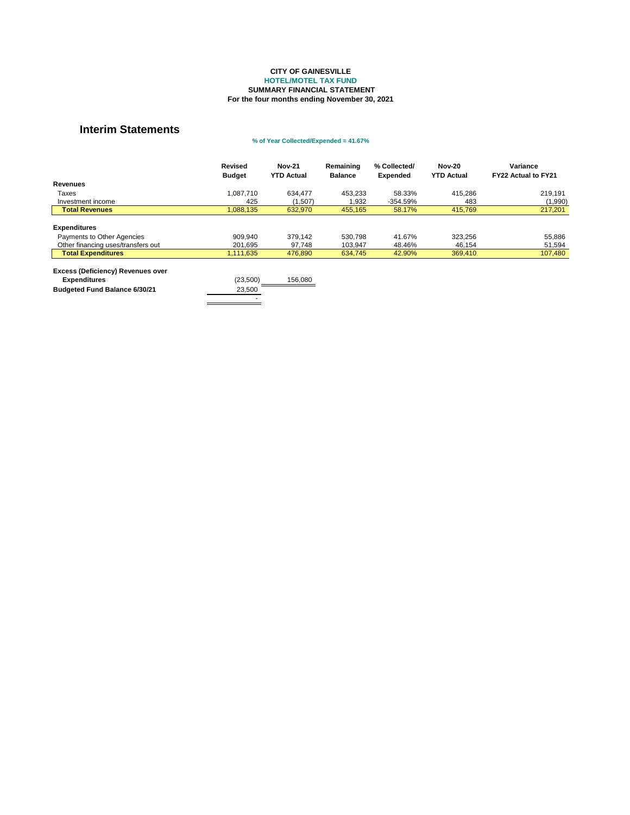|                                          | <b>Revised</b><br><b>Budget</b> | <b>Nov-21</b><br><b>YTD Actual</b> | Remaining<br><b>Balance</b> | % Collected/<br><b>Expended</b> | <b>Nov-20</b><br><b>YTD Actual</b> | Variance<br><b>FY22 Actual to FY21</b> |
|------------------------------------------|---------------------------------|------------------------------------|-----------------------------|---------------------------------|------------------------------------|----------------------------------------|
| <b>Revenues</b>                          |                                 |                                    |                             |                                 |                                    |                                        |
| Taxes                                    | 1,087,710                       | 634,477                            | 453,233                     | 58.33%                          | 415,286                            | 219,191                                |
| Investment income                        | 425                             | (1,507)                            | 932. ا                      | $-354.59%$                      | 483                                | (1,990)                                |
| <b>Total Revenues</b>                    | 1,088,135                       | 632,970                            | 455,165                     | 58.17%                          | 415,769                            | 217,201                                |
|                                          |                                 |                                    |                             |                                 |                                    |                                        |
| <b>Expenditures</b>                      |                                 |                                    |                             |                                 |                                    |                                        |
| Payments to Other Agencies               | 909,940                         | 379,142                            | 530,798                     | 41.67%                          | 323,256                            | 55,886                                 |
| Other financing uses/transfers out       | 201,695                         | 97,748                             | 103,947                     | 48.46%                          | 46,154                             | 51,594                                 |
| <b>Total Expenditures</b>                | 1,111,635                       | 476,890                            | 634,745                     | 42.90%                          | 369,410                            | 107,480                                |
| <b>Excess (Deficiency) Revenues over</b> |                                 |                                    |                             |                                 |                                    |                                        |
| <b>Expenditures</b>                      | (23,500)                        | 156,080                            |                             |                                 |                                    |                                        |
| <b>Budgeted Fund Balance 6/30/21</b>     | 23,500                          |                                    |                             |                                 |                                    |                                        |
|                                          |                                 |                                    |                             |                                 |                                    |                                        |

#### **CITY OF GAINESVILLE HOTEL/MOTEL TAX FUND SUMMARY FINANCIAL STATEMENT For the four months ending November 30, 2021**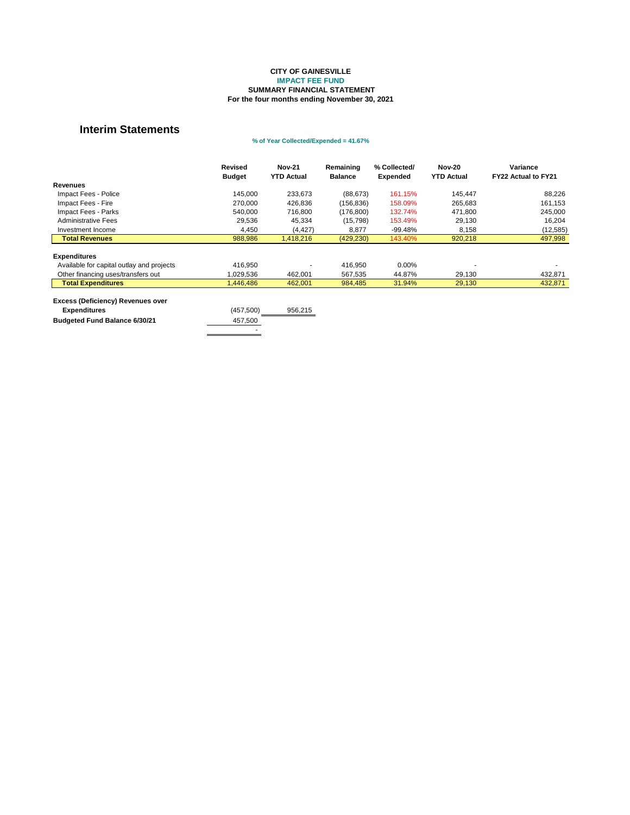|                                                                                                         | <b>Revised</b><br><b>Budget</b> | <b>Nov-21</b><br><b>YTD Actual</b> | Remaining<br><b>Balance</b> | % Collected/<br><b>Expended</b> | <b>Nov-20</b><br><b>YTD Actual</b> | Variance<br>FY22 Actual to FY21 |
|---------------------------------------------------------------------------------------------------------|---------------------------------|------------------------------------|-----------------------------|---------------------------------|------------------------------------|---------------------------------|
| <b>Revenues</b>                                                                                         |                                 |                                    |                             |                                 |                                    |                                 |
| Impact Fees - Police                                                                                    | 145,000                         | 233,673                            | (88, 673)                   | 161.15%                         | 145,447                            | 88,226                          |
| Impact Fees - Fire                                                                                      | 270,000                         | 426,836                            | (156, 836)                  | 158.09%                         | 265,683                            | 161,153                         |
| Impact Fees - Parks                                                                                     | 540,000                         | 716,800                            | (176, 800)                  | 132.74%                         | 471,800                            | 245,000                         |
| <b>Administrative Fees</b>                                                                              | 29,536                          | 45,334                             | (15,798)                    | 153.49%                         | 29,130                             | 16,204                          |
| Investment Income                                                                                       | 4,450                           | (4, 427)                           | 8,877                       | $-99.48%$                       | 8,158                              | (12, 585)                       |
| <b>Total Revenues</b>                                                                                   | 988,986                         | 1,418,216                          | (429, 230)                  | 143.40%                         | 920,218                            | 497,998                         |
| <b>Expenditures</b><br>Available for capital outlay and projects                                        | 416,950                         |                                    | 416,950                     | 0.00%<br>44.87%                 |                                    |                                 |
| Other financing uses/transfers out<br><b>Total Expenditures</b>                                         | ,029,536<br>,446,486            | 462,001<br>462,001                 | 567,535<br>984,485          | 31.94%                          | 29,130<br>29,130                   | 432,871<br>432,871              |
| <b>Excess (Deficiency) Revenues over</b><br><b>Expenditures</b><br><b>Budgeted Fund Balance 6/30/21</b> | (457, 500)<br>457,500           | 956,215                            |                             |                                 |                                    |                                 |

#### **IMPACT FEE FUND SUMMARY FINANCIAL STATEMENT For the four months ending November 30, 2021 CITY OF GAINESVILLE**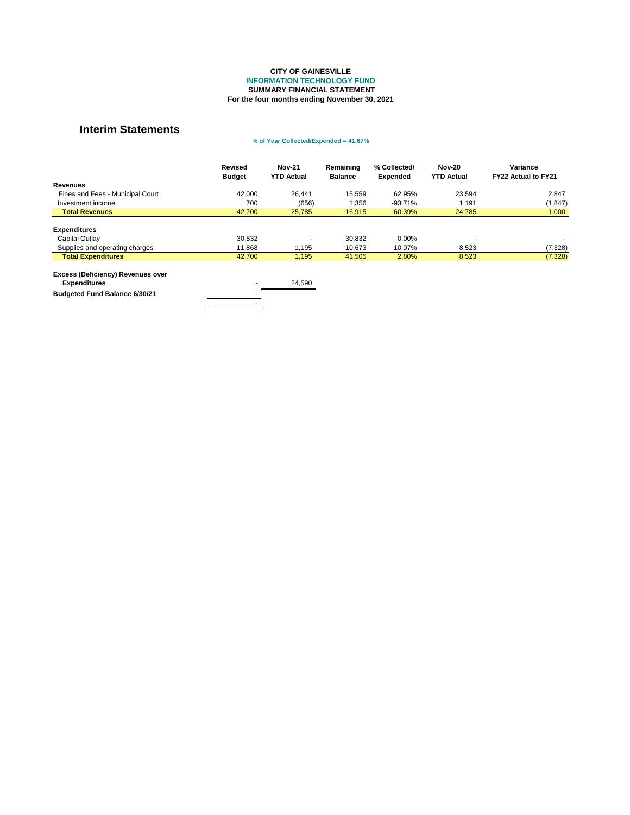|                                                                                                             | <b>Revised</b><br><b>Budget</b> | <b>Nov-21</b><br><b>YTD Actual</b> | Remaining<br><b>Balance</b> | % Collected/<br><b>Expended</b> | <b>Nov-20</b><br><b>YTD Actual</b> | Variance<br><b>FY22 Actual to FY21</b> |
|-------------------------------------------------------------------------------------------------------------|---------------------------------|------------------------------------|-----------------------------|---------------------------------|------------------------------------|----------------------------------------|
| <b>Revenues</b>                                                                                             |                                 |                                    |                             |                                 |                                    |                                        |
| Fines and Fees - Municipal Court                                                                            | 42,000                          | 26,441                             | 15,559                      | 62.95%                          | 23,594                             | 2,847                                  |
| Investment income                                                                                           | 700                             | (656)                              | .356                        | $-93.71%$                       | 1,191                              | (1, 847)                               |
| <b>Total Revenues</b>                                                                                       | 42,700                          | 25,785                             | 16,915                      | 60.39%                          | 24,785                             | 1,000                                  |
| <b>Expenditures</b><br><b>Capital Outlay</b><br>Supplies and operating charges<br><b>Total Expenditures</b> | 30,832<br>11,868<br>42,700      | 1,195<br>1,195                     | 30,832<br>10,673<br>41,505  | $0.00\%$<br>10.07%<br>2.80%     | 8,523<br>8,523                     | (7, 328)                               |
| <b>Excess (Deficiency) Revenues over</b><br><b>Expenditures</b><br><b>Budgeted Fund Balance 6/30/21</b>     |                                 | 24,590                             |                             |                                 |                                    | (7,328)                                |

#### **SUMMARY FINANCIAL STATEMENT For the four months ending November 30, 2021 CITY OF GAINESVILLE INFORMATION TECHNOLOGY FUND**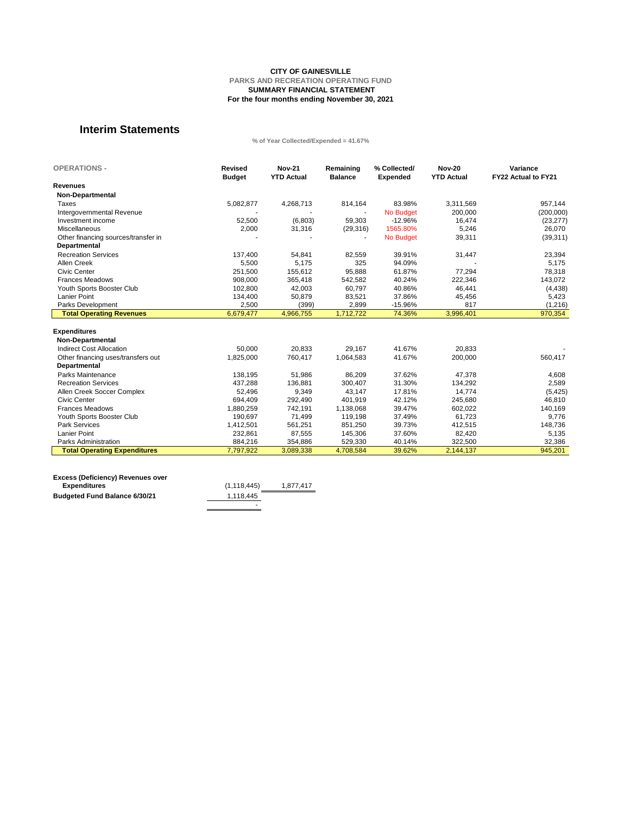| <b>OPERATIONS -</b>                 | <b>Revised</b><br><b>Budget</b> | <b>Nov-21</b><br><b>YTD Actual</b> | Remaining<br><b>Balance</b> | % Collected/<br><b>Expended</b> | <b>Nov-20</b><br><b>YTD Actual</b> | Variance<br>FY22 Actual to FY21 |
|-------------------------------------|---------------------------------|------------------------------------|-----------------------------|---------------------------------|------------------------------------|---------------------------------|
| <b>Revenues</b>                     |                                 |                                    |                             |                                 |                                    |                                 |
| <b>Non-Departmental</b>             |                                 |                                    |                             |                                 |                                    |                                 |
| <b>Taxes</b>                        | 5,082,877                       | 4,268,713                          | 814,164                     | 83.98%                          | 3,311,569                          | 957,144                         |
| Intergovernmental Revenue           |                                 |                                    |                             | No Budget                       | 200,000                            | (200,000)                       |
| Investment income                   | 52,500                          | (6,803)                            | 59,303                      | $-12.96%$                       | 16,474                             | (23, 277)                       |
| Miscellaneous                       | 2,000                           | 31,316                             | (29, 316)                   | 1565.80%                        | 5,246                              | 26,070                          |
| Other financing sources/transfer in |                                 |                                    |                             | <b>No Budget</b>                | 39,311                             | (39, 311)                       |
| <b>Departmental</b>                 |                                 |                                    |                             |                                 |                                    |                                 |
| <b>Recreation Services</b>          |                                 |                                    |                             |                                 |                                    |                                 |
|                                     | 137,400                         | 54,841                             | 82,559                      | 39.91%                          | 31,447                             | 23,394                          |
| <b>Allen Creek</b>                  | 5,500                           | 5,175                              | 325                         | 94.09%                          |                                    | 5,175                           |
| <b>Civic Center</b>                 | 251,500                         | 155,612                            | 95,888                      | 61.87%                          | 77,294                             | 78,318                          |
| <b>Frances Meadows</b>              | 908,000                         | 365,418                            | 542,582                     | 40.24%                          | 222,346                            | 143,072                         |
| Youth Sports Booster Club           | 102,800                         | 42,003                             | 60,797                      | 40.86%                          | 46,441                             | (4, 438)                        |
| <b>Lanier Point</b>                 | 134,400                         | 50,879                             | 83,521                      | 37.86%                          | 45,456                             | 5,423                           |
| <b>Parks Development</b>            | 2,500                           | (399)                              | 2,899                       | $-15.96%$                       | 817                                | (1, 216)                        |
| <b>Total Operating Revenues</b>     | 6,679,477                       | 4,966,755                          | 1,712,722                   | 74.36%                          | 3,996,401                          | 970,354                         |
| <b>Expenditures</b>                 |                                 |                                    |                             |                                 |                                    |                                 |
| <b>Non-Departmental</b>             |                                 |                                    |                             |                                 |                                    |                                 |
| <b>Indirect Cost Allocation</b>     | 50,000                          | 20,833                             | 29,167                      | 41.67%                          | 20,833                             |                                 |
| Other financing uses/transfers out  | 1,825,000                       | 760,417                            | 1,064,583                   | 41.67%                          | 200,000                            | 560,417                         |
| <b>Departmental</b>                 |                                 |                                    |                             |                                 |                                    |                                 |
| <b>Parks Maintenance</b>            | 138,195                         | 51,986                             | 86,209                      | 37.62%                          | 47,378                             | 4,608                           |
| <b>Recreation Services</b>          | 437,288                         | 136,881                            | 300,407                     | 31.30%                          | 134,292                            | 2,589                           |
| Allen Creek Soccer Complex          | 52,496                          | 9,349                              | 43,147                      | 17.81%                          | 14,774                             | (5, 425)                        |
| <b>Civic Center</b>                 | 694,409                         | 292,490                            | 401,919                     | 42.12%                          | 245,680                            | 46,810                          |
| <b>Frances Meadows</b>              | 1,880,259                       | 742,191                            | 1,138,068                   | 39.47%                          | 602,022                            | 140,169                         |
| Youth Sports Booster Club           | 190,697                         | 71,499                             | 119,198                     | 37.49%                          | 61,723                             | 9,776                           |
| <b>Park Services</b>                | 1,412,501                       | 561,251                            | 851,250                     | 39.73%                          | 412,515                            | 148,736                         |
| <b>Lanier Point</b>                 | 232,861                         | 87,555                             | 145,306                     | 37.60%                          | 82,420                             | 5,135                           |
| <b>Parks Administration</b>         | 884,216                         | 354,886                            | 529,330                     | 40.14%                          | 322,500                            | 32,386                          |
| <b>Total Operating Expenditures</b> | 7,797,922                       | 3,089,338                          | 4,708,584                   | 39.62%                          | 2,144,137                          | 945,201                         |

| <b>Excess (Deficiency) Revenues over</b> |               |           |
|------------------------------------------|---------------|-----------|
| <b>Expenditures</b>                      | (1, 118, 445) | 1,877,417 |
| <b>Budgeted Fund Balance 6/30/21</b>     | 1,118,445     |           |
|                                          | -             |           |

#### **SUMMARY FINANCIAL STATEMENT For the four months ending November 30, 2021 CITY OF GAINESVILLE PARKS AND RECREATION OPERATING FUND**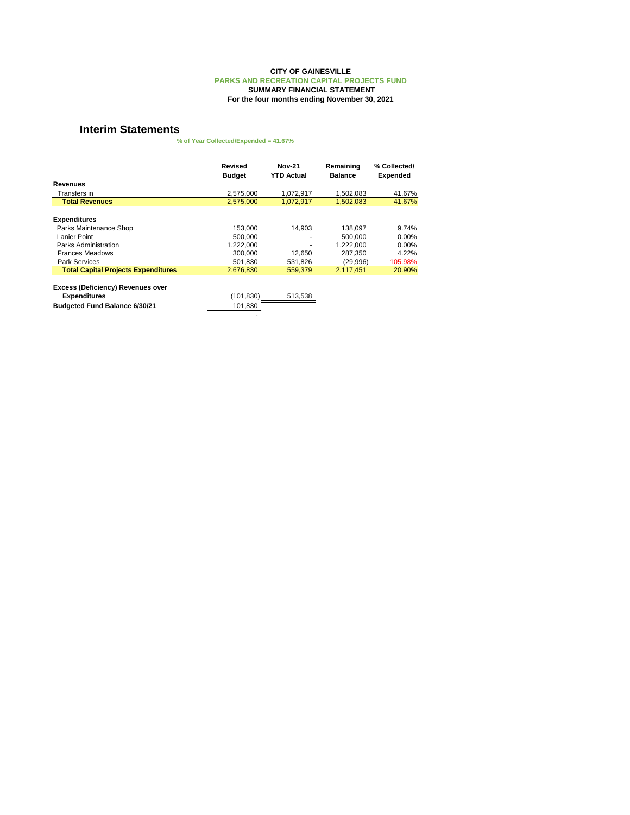|                                            | <b>Revised</b><br><b>Budget</b> | <b>Nov-21</b><br><b>YTD Actual</b> | Remaining<br><b>Balance</b> | % Collected/<br><b>Expended</b> |
|--------------------------------------------|---------------------------------|------------------------------------|-----------------------------|---------------------------------|
| <b>Revenues</b>                            |                                 |                                    |                             |                                 |
| Transfers in                               | 2,575,000                       | 1,072,917                          | 1,502,083                   | 41.67%                          |
| <b>Total Revenues</b>                      | 2,575,000                       | 1,072,917                          | 1,502,083                   | 41.67%                          |
| <b>Expenditures</b>                        |                                 |                                    |                             |                                 |
| Parks Maintenance Shop                     | 153,000                         | 14,903                             | 138,097                     | 9.74%                           |
| Lanier Point                               | 500,000                         |                                    | 500,000                     | $0.00\%$                        |
| <b>Parks Administration</b>                | 1,222,000                       |                                    | 1,222,000                   | $0.00\%$                        |
| <b>Frances Meadows</b>                     | 300,000                         | 12,650                             | 287,350                     | 4.22%                           |
| <b>Park Services</b>                       | 501,830                         | 531,826                            | (29,996)                    | 105.98%                         |
| <b>Total Capital Projects Expenditures</b> | 2,676,830                       | 559,379                            | 2,117,451                   | 20.90%                          |
| <b>Excess (Deficiency) Revenues over</b>   |                                 |                                    |                             |                                 |
| <b>Expenditures</b>                        | (101, 830)                      | 513,538                            |                             |                                 |
| <b>Budgeted Fund Balance 6/30/21</b>       | 101,830                         |                                    |                             |                                 |
|                                            |                                 |                                    |                             |                                 |

**% of Year Collected/Expended = 41.67%**

#### **For the four months ending November 30, 2021 CITY OF GAINESVILLE PARKS AND RECREATION CAPITAL PROJECTS FUND SUMMARY FINANCIAL STATEMENT**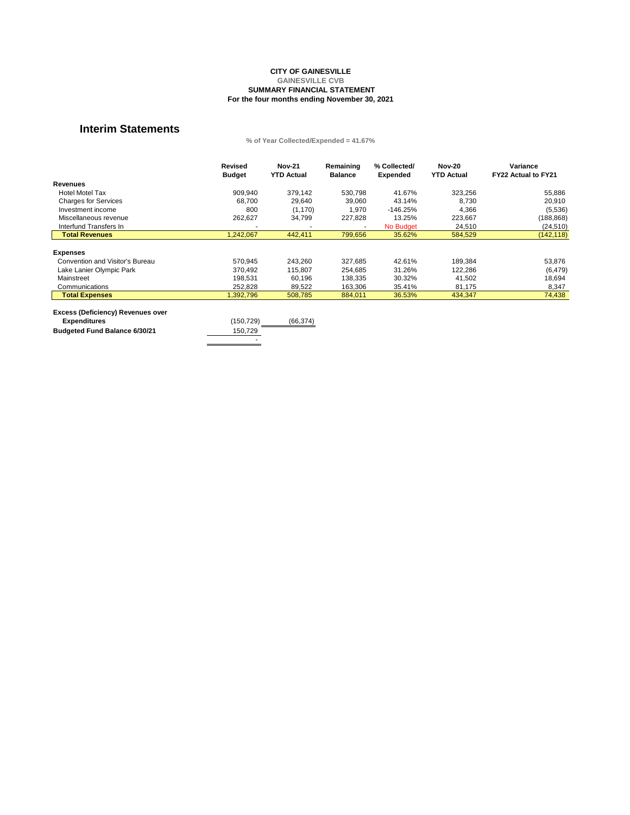|                                          | <b>Revised</b> | <b>Nov-21</b>     | Remaining      | % Collected/    | <b>Nov-20</b>     | Variance                   |
|------------------------------------------|----------------|-------------------|----------------|-----------------|-------------------|----------------------------|
|                                          | <b>Budget</b>  | <b>YTD Actual</b> | <b>Balance</b> | <b>Expended</b> | <b>YTD Actual</b> | <b>FY22 Actual to FY21</b> |
| <b>Revenues</b>                          |                |                   |                |                 |                   |                            |
| <b>Hotel Motel Tax</b>                   | 909,940        | 379,142           | 530,798        | 41.67%          | 323,256           | 55,886                     |
| <b>Charges for Services</b>              | 68,700         | 29,640            | 39,060         | 43.14%          | 8,730             | 20,910                     |
| Investment income                        | 800            | (1, 170)          | 1,970          | $-146.25%$      | 4,366             | (5,536)                    |
| Miscellaneous revenue                    | 262,627        | 34,799            | 227,828        | 13.25%          | 223,667           | (188, 868)                 |
| Interfund Transfers In                   |                |                   | $\blacksquare$ | No Budget       | 24,510            | (24, 510)                  |
| <b>Total Revenues</b>                    | 1,242,067      | 442,411           | 799,656        | 35.62%          | 584,529           | (142, 118)                 |
| <b>Expenses</b>                          |                |                   |                |                 |                   |                            |
| <b>Convention and Visitor's Bureau</b>   | 570,945        | 243,260           | 327,685        | 42.61%          | 189,384           | 53,876                     |
| Lake Lanier Olympic Park                 | 370,492        | 115,807           | 254,685        | 31.26%          | 122,286           | (6, 479)                   |
| Mainstreet                               | 198,531        | 60,196            | 138,335        | 30.32%          | 41,502            | 18,694                     |
| Communications                           | 252,828        | 89,522            | 163,306        | 35.41%          | 81,175            | 8,347                      |
| <b>Total Expenses</b>                    | 1,392,796      | 508,785           | 884,011        | 36.53%          | 434,347           | 74,438                     |
|                                          |                |                   |                |                 |                   |                            |
| <b>Excess (Deficiency) Revenues over</b> |                |                   |                |                 |                   |                            |

| $\frac{1}{2}$                        |            |           |
|--------------------------------------|------------|-----------|
| <b>Expenditures</b>                  | (150, 729) | (66, 374) |
| <b>Budgeted Fund Balance 6/30/21</b> | 150,729    |           |
|                                      | -          |           |
|                                      |            |           |

**% of Year Collected/Expended = 41.67%**

#### **CITY OF GAINESVILLE GAINESVILLE CVB SUMMARY FINANCIAL STATEMENT For the four months ending November 30, 2021**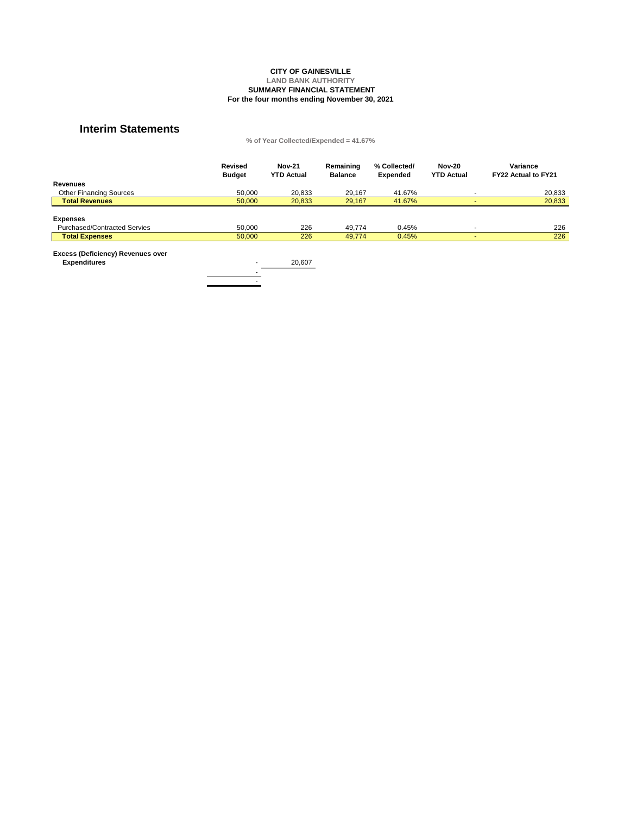|                                     | <b>Revised</b><br><b>Budget</b> | <b>Nov-21</b><br><b>YTD Actual</b> | Remaining<br><b>Balance</b> | % Collected/<br><b>Expended</b> | <b>Nov-20</b><br><b>YTD Actual</b> | <b>Variance</b><br><b>FY22 Actual to FY21</b> |
|-------------------------------------|---------------------------------|------------------------------------|-----------------------------|---------------------------------|------------------------------------|-----------------------------------------------|
| <b>Revenues</b>                     |                                 |                                    |                             |                                 |                                    |                                               |
| <b>Other Financing Sources</b>      | 50,000                          | 20,833                             | 29,167                      | 41.67%                          |                                    | 20,833                                        |
| <b>Total Revenues</b>               | 50,000                          | 20,833                             | 29,167                      | 41.67%                          |                                    | 20,833                                        |
|                                     |                                 |                                    |                             |                                 |                                    |                                               |
| <b>Expenses</b>                     |                                 |                                    |                             |                                 |                                    |                                               |
| <b>Purchased/Contracted Servies</b> | 50,000                          | 226                                | 49,774                      | 0.45%                           |                                    | 226                                           |
| <b>Total Expenses</b>               | 50,000                          | 226                                | 49,774                      | 0.45%                           |                                    | 226                                           |
|                                     |                                 |                                    |                             |                                 |                                    |                                               |

**Expenditures** 20,607 - 1990 - 1990 - 1991 - 1992<br>1992 - 1992 - 1992 - 1992 - 1992 - 1992 - 1992 - 1992 - 1992 - 1992 - 1992 - 1992 - 1992 - 1992 - 1992 - 1992 -

**Excess (Deficiency) Revenues over** 

#### **CITY OF GAINESVILLE LAND BANK AUTHORITY SUMMARY FINANCIAL STATEMENT For the four months ending November 30, 2021**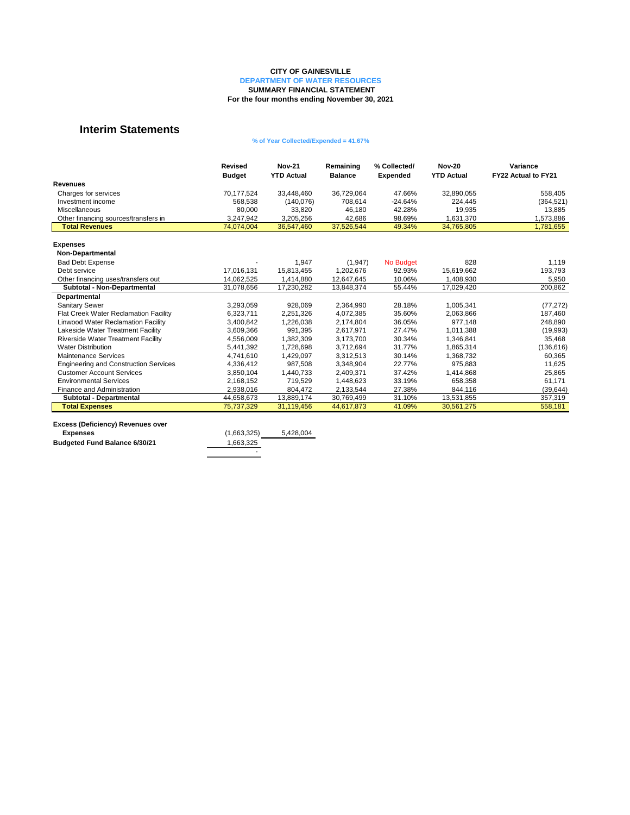|                                              | <b>Revised</b><br><b>Budget</b> | <b>Nov-21</b><br><b>YTD Actual</b> | Remaining<br><b>Balance</b> | % Collected/<br><b>Expended</b> | <b>Nov-20</b><br><b>YTD Actual</b> | <b>Variance</b><br>FY22 Actual to FY21 |
|----------------------------------------------|---------------------------------|------------------------------------|-----------------------------|---------------------------------|------------------------------------|----------------------------------------|
| <b>Revenues</b>                              |                                 |                                    |                             |                                 |                                    |                                        |
| Charges for services                         | 70,177,524                      | 33,448,460                         | 36,729,064                  | 47.66%                          | 32,890,055                         | 558,405                                |
| Investment income                            | 568,538                         | (140,076)                          | 708,614                     | $-24.64%$                       | 224,445                            | (364, 521)                             |
| Miscellaneous                                | 80,000                          | 33,820                             | 46,180                      | 42.28%                          | 19,935                             | 13,885                                 |
| Other financing sources/transfers in         | 3,247,942                       | 3,205,256                          | 42,686                      | 98.69%                          | 1,631,370                          | 1,573,886                              |
| <b>Total Revenues</b>                        | 74,074,004                      | 36,547,460                         | 37,526,544                  | 49.34%                          | 34,765,805                         | 1,781,655                              |
|                                              |                                 |                                    |                             |                                 |                                    |                                        |
| <b>Expenses</b>                              |                                 |                                    |                             |                                 |                                    |                                        |
| <b>Non-Departmental</b>                      |                                 |                                    |                             |                                 |                                    |                                        |
| <b>Bad Debt Expense</b>                      |                                 | 1,947                              | (1, 947)                    | <b>No Budget</b>                | 828                                | 1,119                                  |
| Debt service                                 | 17,016,131                      | 15,813,455                         | 1,202,676                   | 92.93%                          | 15,619,662                         | 193,793                                |
| Other financing uses/transfers out           | 14,062,525                      | 1,414,880                          | 12,647,645                  | 10.06%                          | 1,408,930                          | 5,950                                  |
| Subtotal - Non-Departmental                  | 31,078,656                      | 17,230,282                         | 13,848,374                  | 55.44%                          | 17,029,420                         | 200,862                                |
| <b>Departmental</b>                          |                                 |                                    |                             |                                 |                                    |                                        |
| <b>Sanitary Sewer</b>                        | 3,293,059                       | 928,069                            | 2,364,990                   | 28.18%                          | 1,005,341                          | (77, 272)                              |
| Flat Creek Water Reclamation Facility        | 6,323,711                       | 2,251,326                          | 4,072,385                   | 35.60%                          | 2,063,866                          | 187,460                                |
| <b>Linwood Water Reclamation Facility</b>    | 3,400,842                       | 1,226,038                          | 2,174,804                   | 36.05%                          | 977,148                            | 248,890                                |
| Lakeside Water Treatment Facility            | 3,609,366                       | 991,395                            | 2,617,971                   | 27.47%                          | 1,011,388                          | (19,993)                               |
| <b>Riverside Water Treatment Facility</b>    | 4,556,009                       | 1,382,309                          | 3,173,700                   | 30.34%                          | 1,346,841                          | 35,468                                 |
| <b>Water Distribution</b>                    | 5,441,392                       | 1,728,698                          | 3,712,694                   | 31.77%                          | 1,865,314                          | (136, 616)                             |
| <b>Maintenance Services</b>                  | 4,741,610                       | 1,429,097                          | 3,312,513                   | 30.14%                          | 1,368,732                          | 60,365                                 |
| <b>Engineering and Construction Services</b> | 4,336,412                       | 987,508                            | 3,348,904                   | 22.77%                          | 975,883                            | 11,625                                 |
| <b>Customer Account Services</b>             | 3,850,104                       | 1,440,733                          | 2,409,371                   | 37.42%                          | 1,414,868                          | 25,865                                 |
| <b>Environmental Services</b>                | 2,168,152                       | 719,529                            | 1,448,623                   | 33.19%                          | 658,358                            | 61,171                                 |
| Finance and Administration                   | 2,938,016                       | 804,472                            | 2,133,544                   | 27.38%                          | 844,116                            | (39, 644)                              |
| <b>Subtotal - Departmental</b>               | 44,658,673                      | 13,889,174                         | 30,769,499                  | 31.10%                          | 13,531,855                         | 357,319                                |
| <b>Total Expenses</b>                        | 75,737,329                      | 31,119,456                         | 44,617,873                  | 41.09%                          | 30,561,275                         | 558,181                                |

| <b>Excess (Deficiency) Revenues over</b> |             |           |
|------------------------------------------|-------------|-----------|
| <b>Expenses</b>                          | (1,663,325) | 5,428,004 |
| <b>Budgeted Fund Balance 6/30/21</b>     | 1,663,325   |           |
|                                          | -           |           |

#### **CITY OF GAINESVILLE**

**DEPARTMENT OF WATER RESOURCES**

### **SUMMARY FINANCIAL STATEMENT**

**For the four months ending November 30, 2021**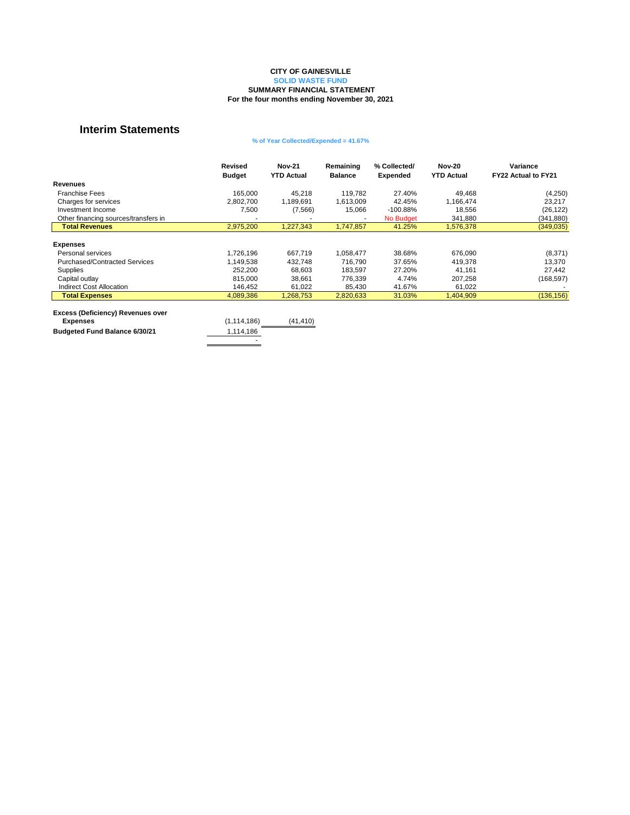|                                          | <b>Revised</b><br><b>Budget</b> | <b>Nov-21</b><br><b>YTD Actual</b> | Remaining<br><b>Balance</b> | % Collected/<br><b>Expended</b> | <b>Nov-20</b><br><b>YTD Actual</b> | Variance<br>FY22 Actual to FY21 |
|------------------------------------------|---------------------------------|------------------------------------|-----------------------------|---------------------------------|------------------------------------|---------------------------------|
| <b>Revenues</b>                          |                                 |                                    |                             |                                 |                                    |                                 |
| <b>Franchise Fees</b>                    | 165,000                         | 45,218                             | 119,782                     | 27.40%                          | 49,468                             | (4,250)                         |
| Charges for services                     | 2,802,700                       | 1,189,691                          | 1,613,009                   | 42.45%                          | 1,166,474                          | 23,217                          |
| Investment Income                        | 7,500                           | (7, 566)                           | 15,066                      | $-100.88\%$                     | 18,556                             | (26, 122)                       |
| Other financing sources/transfers in     | $\,$                            |                                    | $\overline{\phantom{a}}$    | No Budget                       | 341,880                            | (341, 880)                      |
| <b>Total Revenues</b>                    | 2,975,200                       | 1,227,343                          | 1,747,857                   | 41.25%                          | 1,576,378                          | (349, 035)                      |
| <b>Expenses</b>                          |                                 |                                    |                             |                                 |                                    |                                 |
| Personal services                        | 1,726,196                       | 667,719                            | 1,058,477                   | 38.68%                          | 676,090                            | (8,371)                         |
| <b>Purchased/Contracted Services</b>     | 1,149,538                       | 432,748                            | 716,790                     | 37.65%                          | 419,378                            | 13,370                          |
| <b>Supplies</b>                          | 252,200                         | 68,603                             | 183,597                     | 27.20%                          | 41,161                             | 27,442                          |
| Capital outlay                           | 815,000                         | 38,661                             | 776,339                     | 4.74%                           | 207,258                            | (168, 597)                      |
| <b>Indirect Cost Allocation</b>          | 146,452                         | 61,022                             | 85,430                      | 41.67%                          | 61,022                             |                                 |
| <b>Total Expenses</b>                    | 4,089,386                       | 1,268,753                          | 2,820,633                   | 31.03%                          | 1,404,909                          | (136, 156)                      |
| <b>Freese (Deficiency) Revenues over</b> |                                 |                                    |                             |                                 |                                    |                                 |

| <b>EXCESS (Deliciency) Revenues over</b> |               |           |
|------------------------------------------|---------------|-----------|
| <b>Expenses</b>                          | (1, 114, 186) | (41, 410) |
| <b>Budgeted Fund Balance 6/30/21</b>     | 1,114,186     |           |
|                                          | -             |           |
|                                          |               |           |

**SOLID WASTE FUND**

## **SUMMARY FINANCIAL STATEMENT**

**For the four months ending November 30, 2021**

### **% of Year Collected/Expended = 41.67%**

### **CITY OF GAINESVILLE**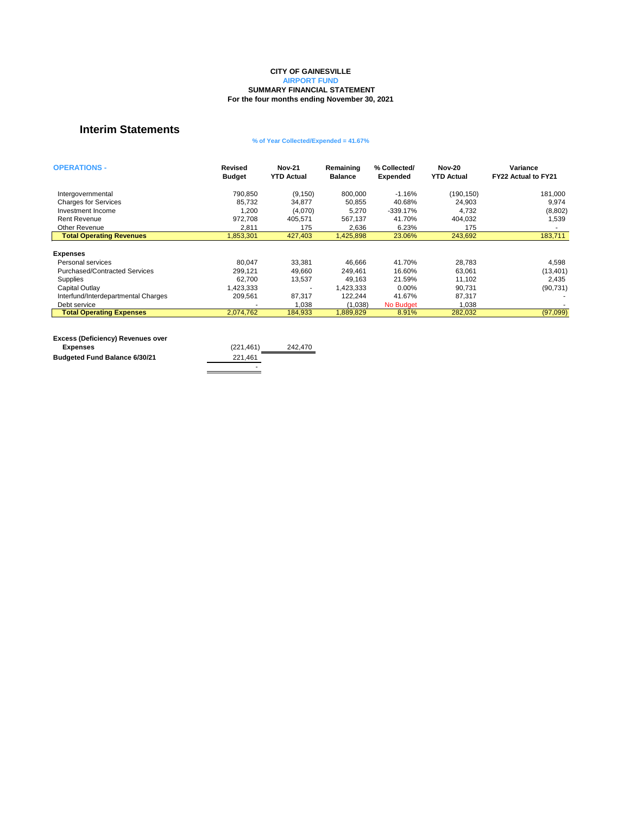| <b>OPERATIONS -</b>                  | <b>Revised</b><br><b>Budget</b> | <b>Nov-21</b><br><b>YTD Actual</b> | Remaining<br><b>Balance</b> | % Collected/<br><b>Expended</b> | <b>Nov-20</b><br><b>YTD Actual</b> | Variance<br>FY22 Actual to FY21 |
|--------------------------------------|---------------------------------|------------------------------------|-----------------------------|---------------------------------|------------------------------------|---------------------------------|
|                                      |                                 |                                    |                             |                                 |                                    |                                 |
| Intergovernmental                    | 790,850                         | (9, 150)                           | 800,000                     | $-1.16%$                        | (190, 150)                         | 181,000                         |
| <b>Charges for Services</b>          | 85,732                          | 34,877                             | 50,855                      | 40.68%                          | 24,903                             | 9,974                           |
| Investment Income                    | 1,200                           | (4,070)                            | 5,270                       | $-339.17%$                      | 4,732                              | (8,802)                         |
| <b>Rent Revenue</b>                  | 972,708                         | 405,571                            | 567,137                     | 41.70%                          | 404,032                            | 1,539                           |
| <b>Other Revenue</b>                 | 2,811                           | 175                                | 2,636                       | 6.23%                           | 175                                |                                 |
| <b>Total Operating Revenues</b>      | 1,853,301                       | 427,403                            | 1,425,898                   | 23.06%                          | 243,692                            | 183,711                         |
|                                      |                                 |                                    |                             |                                 |                                    |                                 |
| <b>Expenses</b>                      |                                 |                                    |                             |                                 |                                    |                                 |
| Personal services                    | 80,047                          | 33,381                             | 46,666                      | 41.70%                          | 28,783                             | 4,598                           |
| <b>Purchased/Contracted Services</b> | 299,121                         | 49,660                             | 249,461                     | 16.60%                          | 63,061                             | (13, 401)                       |
| <b>Supplies</b>                      | 62,700                          | 13,537                             | 49,163                      | 21.59%                          | 11,102                             | 2,435                           |
| <b>Capital Outlay</b>                | 1,423,333                       | $\blacksquare$                     | 1,423,333                   | $0.00\%$                        | 90,731                             | (90, 731)                       |
| Interfund/Interdepartmental Charges  | 209,561                         | 87,317                             | 122,244                     | 41.67%                          | 87,317                             |                                 |
| Debt service                         |                                 | 1,038                              | (1,038)                     | No Budget                       | 1,038                              |                                 |
| <b>Total Operating Expenses</b>      | 2,074,762                       | 184,933                            | 1,889,829                   | 8.91%                           | 282,032                            | (97,099)                        |

| <b>Excess (Deficiency) Revenues over</b> |            |         |
|------------------------------------------|------------|---------|
| <b>Expenses</b>                          | (221, 461) | 242,470 |
| <b>Budgeted Fund Balance 6/30/21</b>     | 221,461    |         |
|                                          | -          |         |

#### **SUMMARY FINANCIAL STATEMENT For the four months ending November 30, 2021 CITY OF GAINESVILLE AIRPORT FUND**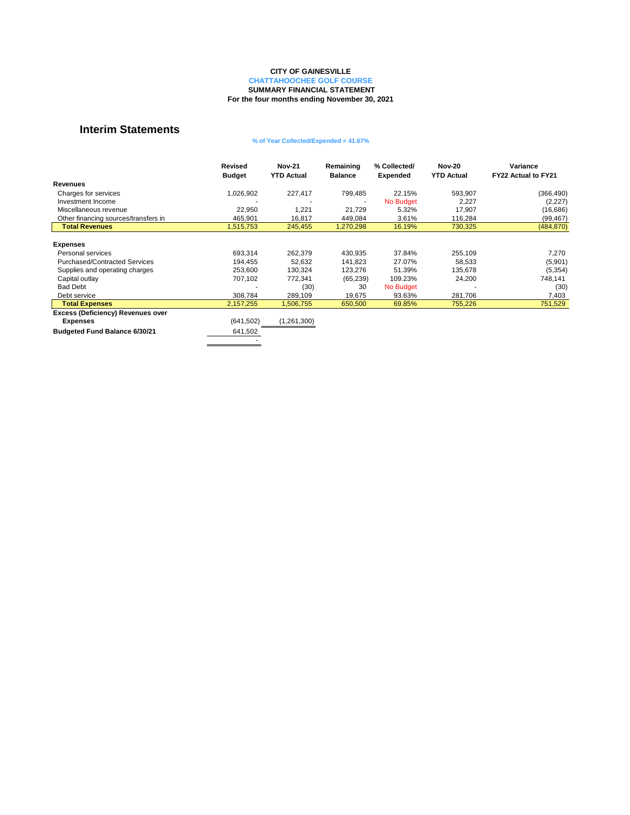|                                          | <b>Revised</b><br><b>Budget</b> | <b>Nov-21</b><br><b>YTD Actual</b> | Remaining<br><b>Balance</b> | % Collected/<br><b>Expended</b> | <b>Nov-20</b><br><b>YTD Actual</b> | Variance<br>FY22 Actual to FY21 |
|------------------------------------------|---------------------------------|------------------------------------|-----------------------------|---------------------------------|------------------------------------|---------------------------------|
| <b>Revenues</b>                          |                                 |                                    |                             |                                 |                                    |                                 |
| Charges for services                     | 1,026,902                       | 227,417                            | 799,485                     | 22.15%                          | 593,907                            | (366, 490)                      |
| Investment Income                        |                                 |                                    | $\blacksquare$              | No Budget                       | 2,227                              | (2,227)                         |
| Miscellaneous revenue                    | 22,950                          | 1,221                              | 21,729                      | 5.32%                           | 17,907                             | (16, 686)                       |
| Other financing sources/transfers in     | 465,901                         | 16,817                             | 449,084                     | 3.61%                           | 116,284                            | (99, 467)                       |
| <b>Total Revenues</b>                    | 1,515,753                       | 245,455                            | 1,270,298                   | 16.19%                          | 730,325                            | (484, 870)                      |
| <b>Expenses</b>                          |                                 |                                    |                             |                                 |                                    |                                 |
| Personal services                        | 693,314                         | 262,379                            | 430,935                     | 37.84%                          | 255,109                            | 7,270                           |
| <b>Purchased/Contracted Services</b>     | 194,455                         | 52,632                             | 141,823                     | 27.07%                          | 58,533                             | (5,901)                         |
| Supplies and operating charges           | 253,600                         | 130,324                            | 123,276                     | 51.39%                          | 135,678                            | (5, 354)                        |
| Capital outlay                           | 707,102                         | 772,341                            | (65, 239)                   | 109.23%                         | 24,200                             | 748,141                         |
| <b>Bad Debt</b>                          |                                 | (30)                               | 30                          | No Budget                       |                                    | (30)                            |
| Debt service                             | 308,784                         | 289,109                            | 19,675                      | 93.63%                          | 281,706                            | 7,403                           |
| <b>Total Expenses</b>                    | 2,157,255                       | 506,755                            | 650,500                     | 69.85%                          | 755,226                            | 751,529                         |
| <b>Excess (Deficiency) Revenues over</b> |                                 |                                    |                             |                                 |                                    |                                 |
| <b>Expenses</b>                          | (641, 502)                      | (1,261,300)                        |                             |                                 |                                    |                                 |
| <b>Budgeted Fund Balance 6/30/21</b>     | 641,502                         |                                    |                             |                                 |                                    |                                 |

-

### **SUMMARY FINANCIAL STATEMENT For the four months ending November 30, 2021**

### **% of Year Collected/Expended = 41.67%**

### **CITY OF GAINESVILLE**

**CHATTAHOOCHEE GOLF COURSE**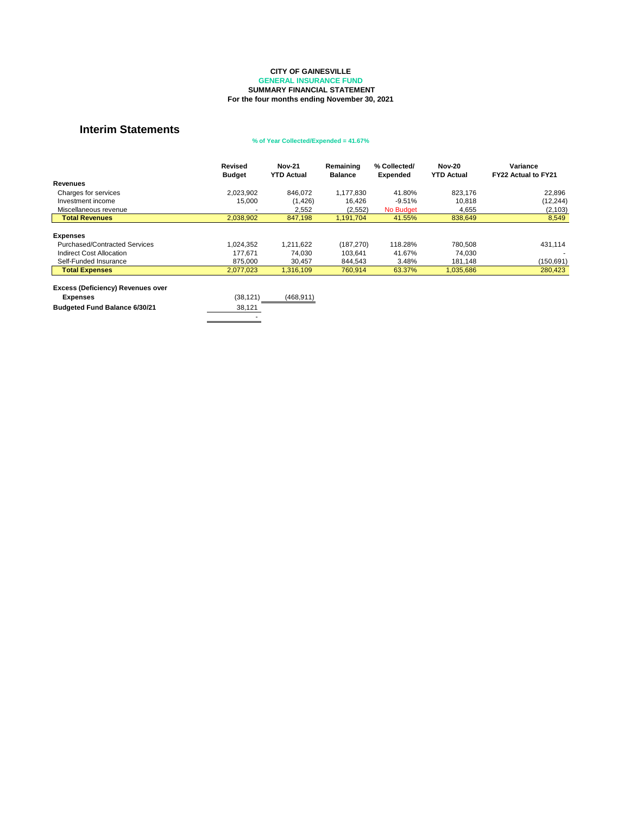|                                                             | <b>Revised</b><br><b>Budget</b> | <b>Nov-21</b><br><b>YTD Actual</b> | Remaining<br><b>Balance</b> | % Collected/<br><b>Expended</b> | <b>Nov-20</b><br><b>YTD Actual</b> | Variance<br><b>FY22 Actual to FY21</b> |
|-------------------------------------------------------------|---------------------------------|------------------------------------|-----------------------------|---------------------------------|------------------------------------|----------------------------------------|
| <b>Revenues</b>                                             |                                 |                                    |                             |                                 |                                    |                                        |
| Charges for services                                        | 2,023,902                       | 846,072                            | 1,177,830                   | 41.80%                          | 823,176                            | 22,896                                 |
| Investment income                                           | 15,000                          | (1, 426)                           | 16,426                      | $-9.51%$                        | 10,818                             | (12, 244)                              |
| Miscellaneous revenue                                       |                                 | 2,552                              | (2,552)                     | No Budget                       | 4,655                              | (2, 103)                               |
| <b>Total Revenues</b>                                       | 2,038,902                       | 847,198                            | 1,191,704                   | 41.55%                          | 838,649                            | 8,549                                  |
| <b>Expenses</b>                                             |                                 |                                    |                             |                                 |                                    |                                        |
| <b>Purchased/Contracted Services</b>                        | 1,024,352                       | 1,211,622                          | (187, 270)                  | 118.28%                         | 780,508                            | 431,114                                |
| <b>Indirect Cost Allocation</b>                             | 177,671                         | 74,030                             | 103,641                     | 41.67%                          | 74,030                             |                                        |
| Self-Funded Insurance                                       | 875,000                         | 30,457                             | 844,543                     | 3.48%                           | 181,148                            | (150, 691)                             |
| <b>Total Expenses</b>                                       | 2,077,023                       | 1,316,109                          | 760,914                     | 63.37%                          | 1,035,686                          | 280,423                                |
| <b>Excess (Deficiency) Revenues over</b><br><b>Expenses</b> | (38, 121)                       | (468, 911)                         |                             |                                 |                                    |                                        |
| <b>Budgeted Fund Balance 6/30/21</b>                        | 38,121                          |                                    |                             |                                 |                                    |                                        |

#### **SUMMARY FINANCIAL STATEMENT For the four months ending November 30, 2021 CITY OF GAINESVILLE GENERAL INSURANCE FUND**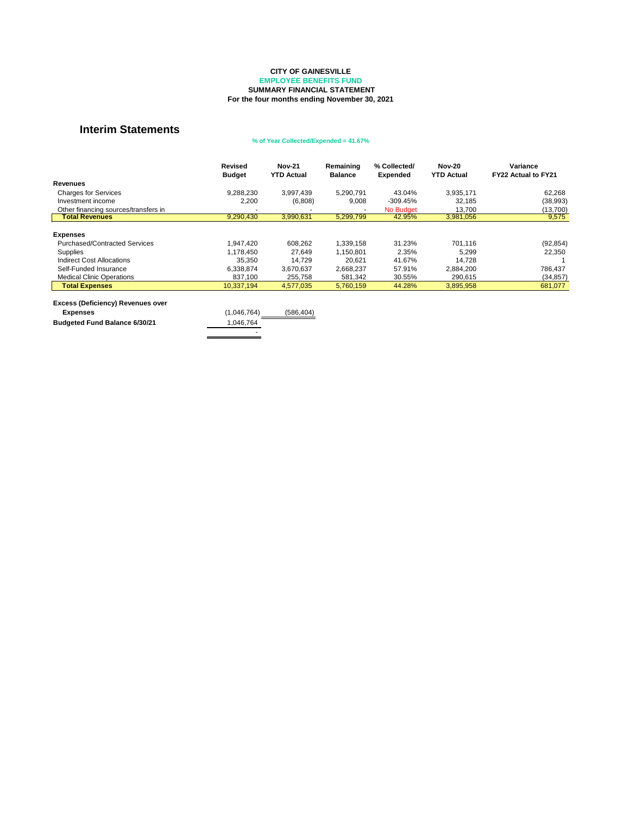|                                          | <b>Revised</b><br><b>Budget</b> | <b>Nov-21</b><br><b>YTD Actual</b> | Remaining<br><b>Balance</b> | % Collected/<br><b>Expended</b> | <b>Nov-20</b><br><b>YTD Actual</b> | <b>Variance</b><br><b>FY22 Actual to FY21</b> |
|------------------------------------------|---------------------------------|------------------------------------|-----------------------------|---------------------------------|------------------------------------|-----------------------------------------------|
| <b>Revenues</b>                          |                                 |                                    |                             |                                 |                                    |                                               |
| <b>Charges for Services</b>              | 9,288,230                       | 3,997,439                          | 5,290,791                   | 43.04%                          | 3,935,171                          | 62,268                                        |
| Investment income                        | 2,200                           | (6,808)                            | 9,008                       | $-309.45%$                      | 32,185                             | (38, 993)                                     |
| Other financing sources/transfers in     |                                 |                                    |                             | <b>No Budget</b>                | 13,700                             | (13, 700)                                     |
| <b>Total Revenues</b>                    | 9,290,430                       | 3,990,631                          | 5,299,799                   | 42.95%                          | 3,981,056                          | 9,575                                         |
| <b>Expenses</b>                          |                                 |                                    |                             |                                 |                                    |                                               |
| <b>Purchased/Contracted Services</b>     | 1,947,420                       | 608,262                            | 1,339,158                   | 31.23%                          | 701,116                            | (92, 854)                                     |
| <b>Supplies</b>                          | 1,178,450                       | 27,649                             | 1,150,801                   | 2.35%                           | 5,299                              | 22,350                                        |
| <b>Indirect Cost Allocations</b>         | 35,350                          | 14,729                             | 20,621                      | 41.67%                          | 14,728                             |                                               |
| Self-Funded Insurance                    | 6,338,874                       | 3,670,637                          | 2,668,237                   | 57.91%                          | 2,884,200                          | 786,437                                       |
| <b>Medical Clinic Operations</b>         | 837,100                         | 255,758                            | 581,342                     | 30.55%                          | 290,615                            | (34, 857)                                     |
| <b>Total Expenses</b>                    | 10,337,194                      | 4,577,035                          | 5,760,159                   | 44.28%                          | 3,895,958                          | 681,077                                       |
| <b>Excess (Deficiency) Revenues over</b> |                                 |                                    |                             |                                 |                                    |                                               |
| <b>Expenses</b>                          | (1,046,764)                     | (586, 404)                         |                             |                                 |                                    |                                               |
| <b>Budgeted Fund Balance 6/30/21</b>     | 1,046,764                       |                                    |                             |                                 |                                    |                                               |

- 1990 - 1990 - 1991 - 1992<br>1992 - 1992 - 1992 - 1992 - 1992 - 1992 - 1992 - 1992 - 1992 - 1992 - 1992 - 1992 - 1992 - 1992 - 1992 - 1992

**For the four months ending November 30, 2021**

### **% of Year Collected/Expended = 41.67%**

### **CITY OF GAINESVILLE**

**EMPLOYEE BENEFITS FUND**

### **SUMMARY FINANCIAL STATEMENT**